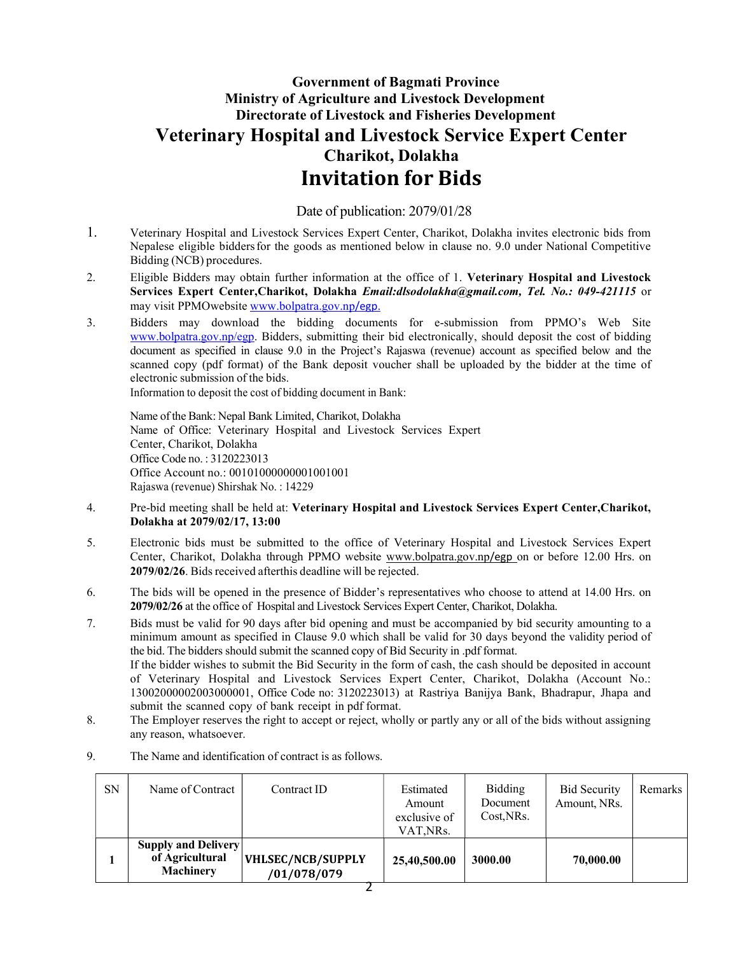## Government of Bagmati Province Ministry of Agriculture and Livestock Development Directorate of Livestock and Fisheries Development Veterinary Hospital and Livestock Service Expert Center Charikot, Dolakha Invitation for Bids

Date of publication: 2079/01/28

- 1. Veterinary Hospital and Livestock Services Expert Center, Charikot, Dolakha invites electronic bids from Nepalese eligible bidders for the goods as mentioned below in clause no. 9.0 under National Competitive Bidding (NCB) procedures.
- 2. Eligible Bidders may obtain further information at the office of 1. Veterinary Hospital and Livestock Services Expert Center, Charikot, Dolakha Email: dlsodolakha@gmail.com, Tel. No.: 049-421115 or may visit PPMO website www.bolpatra.gov.np/egp.
- 3. Bidders may download the bidding documents for e-submission from PPMO's Web Site www.bolpatra.gov.np/egp. Bidders, submitting their bid electronically, should deposit the cost of bidding document as specified in clause 9.0 in the Project's Rajaswa (revenue) account as specified below and the scanned copy (pdf format) of the Bank deposit voucher shall be uploaded by the bidder at the time of electronic submission of the bids.

Information to deposit the cost of bidding document in Bank:

Name of the Bank: Nepal Bank Limited, Charikot, Dolakha Name of Office: Veterinary Hospital and Livestock Services Expert Center, Charikot, Dolakha Office Code no. : 3120223013 Office Account no.: 00101000000001001001 Rajaswa (revenue) Shirshak No. : 14229

- 4. Pre-bid meeting shall be held at: Veterinary Hospital and Livestock Services Expert Center,Charikot, Dolakha at 2079/02/17, 13:00
- 5. Electronic bids must be submitted to the office of Veterinary Hospital and Livestock Services Expert Center, Charikot, Dolakha through PPMO website www.bolpatra.gov.np/egp on or before 12.00 Hrs. on 2079/02/26. Bids received after this deadline will be rejected.
- 6. The bids will be opened in the presence of Bidder's representatives who choose to attend at 14.00 Hrs. on 2079/02/26 at the office of Hospital and Livestock Services Expert Center, Charikot, Dolakha.
- 7. Bids must be valid for 90 days after bid opening and must be accompanied by bid security amounting to a minimum amount as specified in Clause 9.0 which shall be valid for 30 days beyond the validity period of the bid. The bidders should submit the scanned copy of Bid Security in .pdf format. If the bidder wishes to submit the Bid Security in the form of cash, the cash should be deposited in account of Veterinary Hospital and Livestock Services Expert Center, Charikot, Dolakha (Account No.: 13002000002003000001, Office Code no: 3120223013) at Rastriya Banijya Bank, Bhadrapur, Jhapa and submit the scanned copy of bank receipt in pdf format.
- 8. The Employer reserves the right to accept or reject, wholly or partly any or all of the bids without assigning any reason, whatsoever.

| <b>SN</b> | Name of Contract                                                  | Contract ID                             | Estimated<br>Amount<br>exclusive of<br>VAT,NRs. | <b>Bidding</b><br>Document<br>Cost, NRs. | <b>Bid Security</b><br>Amount, NRs. | Remarks |
|-----------|-------------------------------------------------------------------|-----------------------------------------|-------------------------------------------------|------------------------------------------|-------------------------------------|---------|
|           | <b>Supply and Delivery</b><br>of Agricultural<br><b>Machinery</b> | <b>VHLSEC/NCB/SUPPLY</b><br>/01/078/079 | 25,40,500.00                                    | 3000.00                                  | 70,000.00                           |         |

9. The Name and identification of contract is as follows.